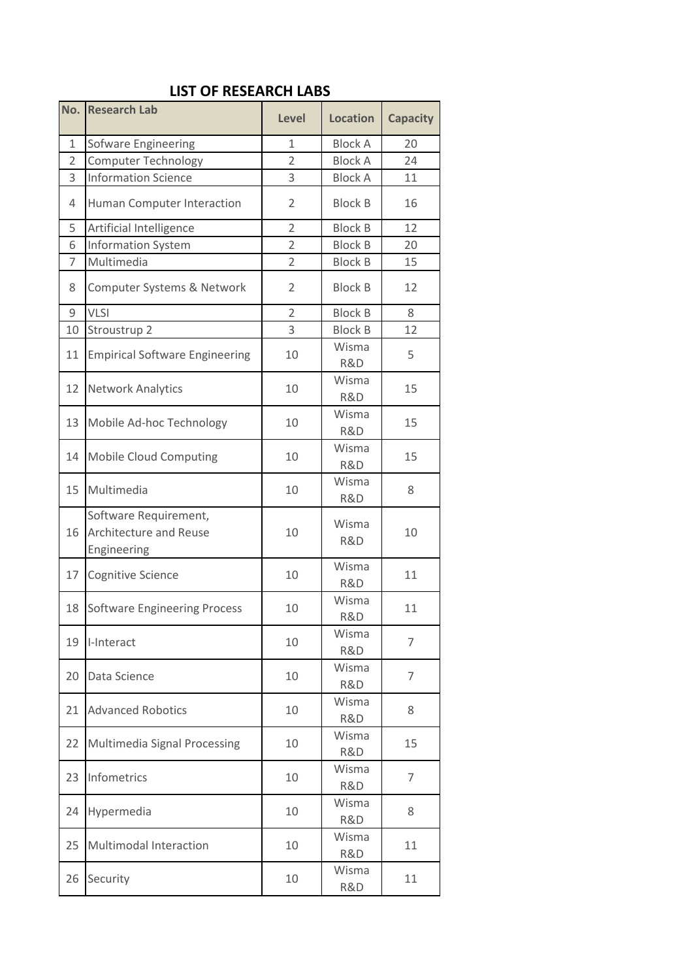## **LIST OF RESEARCH LABS**

| No.            | <b>Research Lab</b>                                            | <b>Level</b>   | <b>Location</b>      | <b>Capacity</b> |  |
|----------------|----------------------------------------------------------------|----------------|----------------------|-----------------|--|
| $\mathbf{1}$   | Sofware Engineering                                            | $\mathbf{1}$   | <b>Block A</b>       | 20              |  |
| $\overline{2}$ | <b>Computer Technology</b>                                     | $\overline{2}$ | <b>Block A</b>       | 24              |  |
| 3              | <b>Information Science</b>                                     | 3              | <b>Block A</b>       | 11              |  |
| $\sqrt{4}$     | Human Computer Interaction                                     | 2              | <b>Block B</b>       | 16              |  |
| 5              | Artificial Intelligence                                        | $\overline{2}$ | <b>Block B</b>       | 12              |  |
| 6              | <b>Information System</b>                                      | $\overline{2}$ | <b>Block B</b>       | 20              |  |
| $\overline{7}$ | Multimedia                                                     | $\overline{2}$ | <b>Block B</b>       | 15              |  |
| 8              | Computer Systems & Network                                     | $\overline{2}$ | <b>Block B</b><br>12 |                 |  |
| 9              | <b>VLSI</b>                                                    | $\overline{2}$ | <b>Block B</b>       | 8               |  |
| 10             | Stroustrup 2                                                   | 3              | <b>Block B</b>       | 12              |  |
| 11             | <b>Empirical Software Engineering</b>                          | 10             | Wisma<br>R&D         | 5               |  |
| 12             | <b>Network Analytics</b>                                       | 10             | Wisma<br>R&D         | 15              |  |
| 13             | Mobile Ad-hoc Technology                                       | 10             | Wisma<br>R&D         | 15              |  |
| 14             | <b>Mobile Cloud Computing</b>                                  | 10             | Wisma<br>R&D         | 15              |  |
| 15             | Multimedia                                                     | 10             | Wisma<br>R&D         | 8               |  |
| 16             | Software Requirement,<br>Architecture and Reuse<br>Engineering | 10             | Wisma<br>R&D         | 10              |  |
| 17             | Cognitive Science                                              | 10             | Wisma<br>R&D         | 11              |  |
| 18             | <b>Software Engineering Process</b>                            | 10             | Wisma<br>R&D         | 11              |  |
| 19             | I-Interact                                                     | 10             | Wisma<br>R&D         | $\overline{7}$  |  |
| 20             | Data Science                                                   | 10             | Wisma<br>R&D         | 7               |  |
| 21             | <b>Advanced Robotics</b>                                       | 10             | Wisma<br>R&D         | 8               |  |
| 22             | Multimedia Signal Processing                                   | 10             | Wisma<br>R&D         | 15              |  |
| 23             | Infometrics                                                    | 10             | Wisma<br>R&D         | 7               |  |
| 24             | Hypermedia                                                     | 10             | Wisma<br>R&D         | 8               |  |
| 25             | <b>Multimodal Interaction</b>                                  | 10             | Wisma<br>R&D         | 11              |  |
|                |                                                                | 10             | Wisma                | 11              |  |